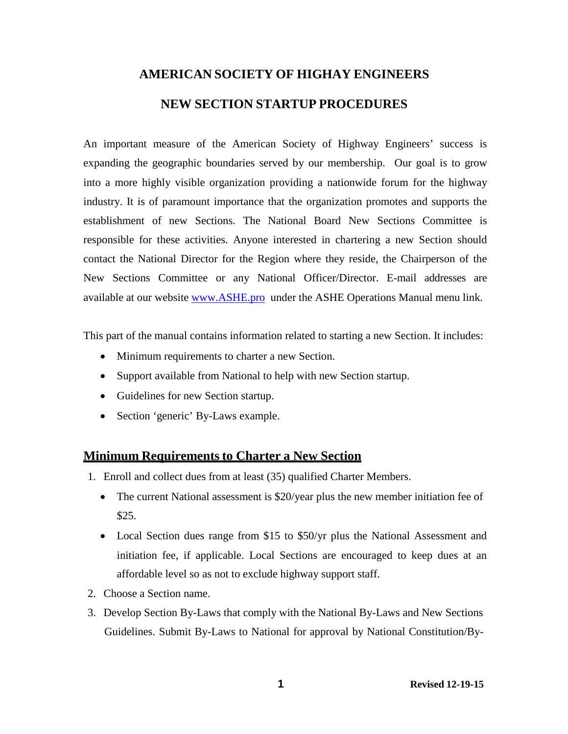# **AMERICAN SOCIETY OF HIGHAY ENGINEERS NEW SECTION STARTUP PROCEDURES**

An important measure of the American Society of Highway Engineers' success is expanding the geographic boundaries served by our membership. Our goal is to grow into a more highly visible organization providing a nationwide forum for the highway industry. It is of paramount importance that the organization promotes and supports the establishment of new Sections. The National Board New Sections Committee is responsible for these activities. Anyone interested in chartering a new Section should contact the National Director for the Region where they reside, the Chairperson of the New Sections Committee or any National Officer/Director. E-mail addresses are available at our website [www.ASHE.pro u](http://www.ashe.pro/)nder the ASHE Operations Manual menu link.

This part of the manual contains information related to starting a new Section. It includes:

- Minimum requirements to charter a new Section.
- Support available from National to help with new Section startup.
- Guidelines for new Section startup.
- Section 'generic' By-Laws example.

# **Minimum Requirements to Charter a New Section**

- 1. Enroll and collect dues from at least (35) qualified Charter Members.
	- The current National assessment is \$20/year plus the new member initiation fee of \$25.
	- Local Section dues range from \$15 to \$50/yr plus the National Assessment and initiation fee, if applicable. Local Sections are encouraged to keep dues at an affordable level so as not to exclude highway support staff.
- 2. Choose a Section name.
- 3. Develop Section By-Laws that comply with the National By-Laws and New Sections Guidelines. Submit By-Laws to National for approval by National Constitution/By-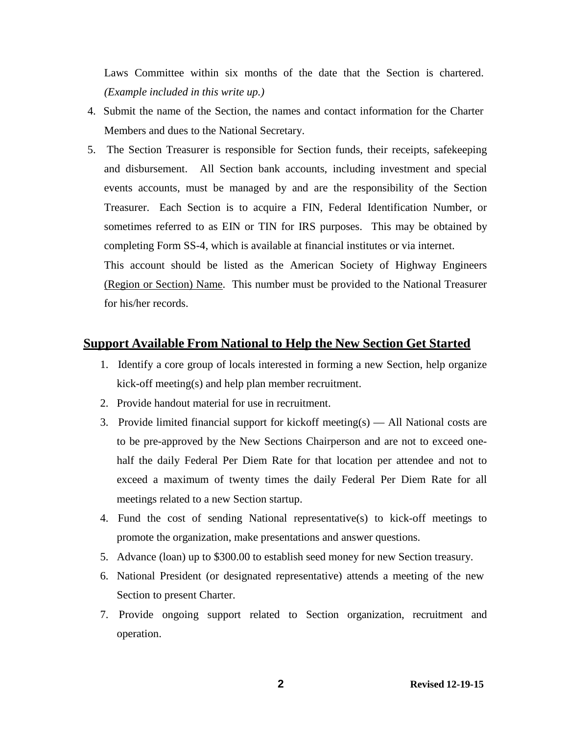Laws Committee within six months of the date that the Section is chartered. *(Example included in this write up.)*

- 4. Submit the name of the Section, the names and contact information for the Charter Members and dues to the National Secretary.
- 5. The Section Treasurer is responsible for Section funds, their receipts, safekeeping and disbursement. All Section bank accounts, including investment and special events accounts, must be managed by and are the responsibility of the Section Treasurer. Each Section is to acquire a FIN, Federal Identification Number, or sometimes referred to as EIN or TIN for IRS purposes. This may be obtained by completing Form SS-4, which is available at financial institutes or via internet.

This account should be listed as the American Society of Highway Engineers (Region or Section) Name. This number must be provided to the National Treasurer for his/her records.

#### **Support Available From National to Help the New Section Get Started**

- 1. Identify a core group of locals interested in forming a new Section, help organize kick-off meeting(s) and help plan member recruitment.
- 2. Provide handout material for use in recruitment.
- 3. Provide limited financial support for kickoff meeting(s) All National costs are to be pre-approved by the New Sections Chairperson and are not to exceed onehalf the daily Federal Per Diem Rate for that location per attendee and not to exceed a maximum of twenty times the daily Federal Per Diem Rate for all meetings related to a new Section startup.
- 4. Fund the cost of sending National representative(s) to kick-off meetings to promote the organization, make presentations and answer questions.
- 5. Advance (loan) up to \$300.00 to establish seed money for new Section treasury.
- 6. National President (or designated representative) attends a meeting of the new Section to present Charter.
- 7. Provide ongoing support related to Section organization, recruitment and operation.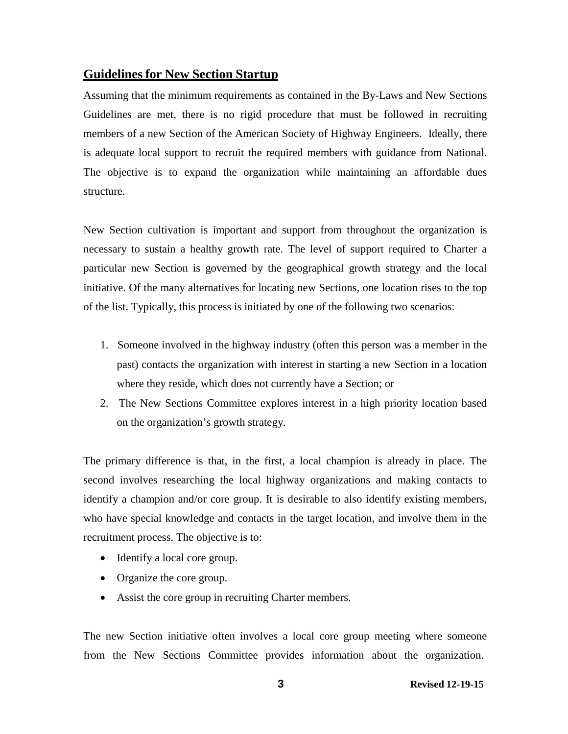# **Guidelines for New Section Startup**

Assuming that the minimum requirements as contained in the By-Laws and New Sections Guidelines are met, there is no rigid procedure that must be followed in recruiting members of a new Section of the American Society of Highway Engineers. Ideally, there is adequate local support to recruit the required members with guidance from National. The objective is to expand the organization while maintaining an affordable dues structure.

New Section cultivation is important and support from throughout the organization is necessary to sustain a healthy growth rate. The level of support required to Charter a particular new Section is governed by the geographical growth strategy and the local initiative. Of the many alternatives for locating new Sections, one location rises to the top of the list. Typically, this process is initiated by one of the following two scenarios:

- 1. Someone involved in the highway industry (often this person was a member in the past) contacts the organization with interest in starting a new Section in a location where they reside, which does not currently have a Section; or
- 2. The New Sections Committee explores interest in a high priority location based on the organization's growth strategy.

The primary difference is that, in the first, a local champion is already in place. The second involves researching the local highway organizations and making contacts to identify a champion and/or core group. It is desirable to also identify existing members, who have special knowledge and contacts in the target location, and involve them in the recruitment process. The objective is to:

- Identify a local core group.
- Organize the core group.
- Assist the core group in recruiting Charter members.

The new Section initiative often involves a local core group meeting where someone from the New Sections Committee provides information about the organization.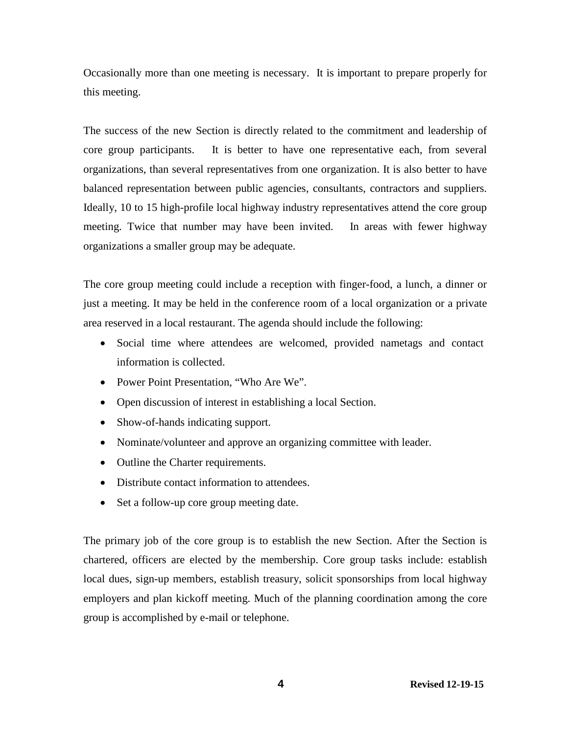Occasionally more than one meeting is necessary. It is important to prepare properly for this meeting.

The success of the new Section is directly related to the commitment and leadership of core group participants. It is better to have one representative each, from several organizations, than several representatives from one organization. It is also better to have balanced representation between public agencies, consultants, contractors and suppliers. Ideally, 10 to 15 high-profile local highway industry representatives attend the core group meeting. Twice that number may have been invited. In areas with fewer highway organizations a smaller group may be adequate.

The core group meeting could include a reception with finger-food, a lunch, a dinner or just a meeting. It may be held in the conference room of a local organization or a private area reserved in a local restaurant. The agenda should include the following:

- Social time where attendees are welcomed, provided nametags and contact information is collected.
- Power Point Presentation, "Who Are We".
- Open discussion of interest in establishing a local Section.
- Show-of-hands indicating support.
- Nominate/volunteer and approve an organizing committee with leader.
- Outline the Charter requirements.
- Distribute contact information to attendees.
- Set a follow-up core group meeting date.

The primary job of the core group is to establish the new Section. After the Section is chartered, officers are elected by the membership. Core group tasks include: establish local dues, sign-up members, establish treasury, solicit sponsorships from local highway employers and plan kickoff meeting. Much of the planning coordination among the core group is accomplished by e-mail or telephone.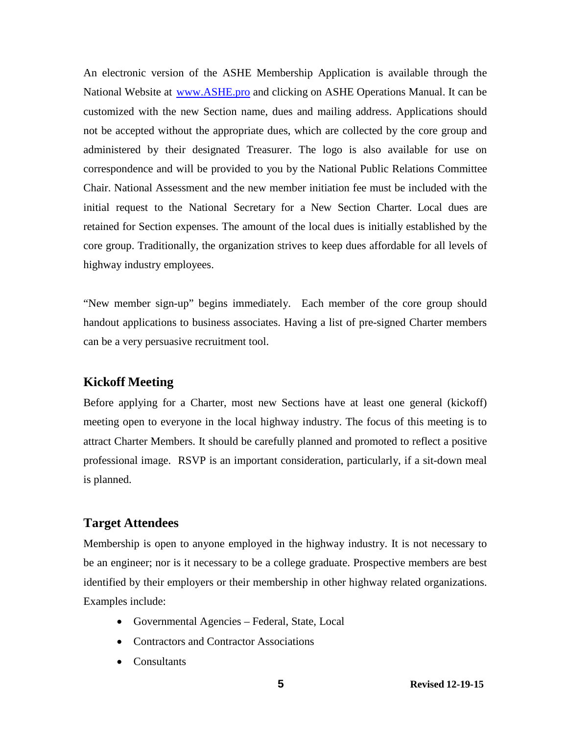An electronic version of the ASHE Membership Application is available through the National Website at [www.ASHE.pro](http://www.ashe.pro/) and clicking on ASHE Operations Manual. It can be customized with the new Section name, dues and mailing address. Applications should not be accepted without the appropriate dues, which are collected by the core group and administered by their designated Treasurer. The logo is also available for use on correspondence and will be provided to you by the National Public Relations Committee Chair. National Assessment and the new member initiation fee must be included with the initial request to the National Secretary for a New Section Charter. Local dues are retained for Section expenses. The amount of the local dues is initially established by the core group. Traditionally, the organization strives to keep dues affordable for all levels of highway industry employees.

"New member sign-up" begins immediately. Each member of the core group should handout applications to business associates. Having a list of pre-signed Charter members can be a very persuasive recruitment tool.

# **Kickoff Meeting**

Before applying for a Charter, most new Sections have at least one general (kickoff) meeting open to everyone in the local highway industry. The focus of this meeting is to attract Charter Members. It should be carefully planned and promoted to reflect a positive professional image. RSVP is an important consideration, particularly, if a sit-down meal is planned.

# **Target Attendees**

Membership is open to anyone employed in the highway industry. It is not necessary to be an engineer; nor is it necessary to be a college graduate. Prospective members are best identified by their employers or their membership in other highway related organizations. Examples include:

- Governmental Agencies Federal, State, Local
- Contractors and Contractor Associations
- Consultants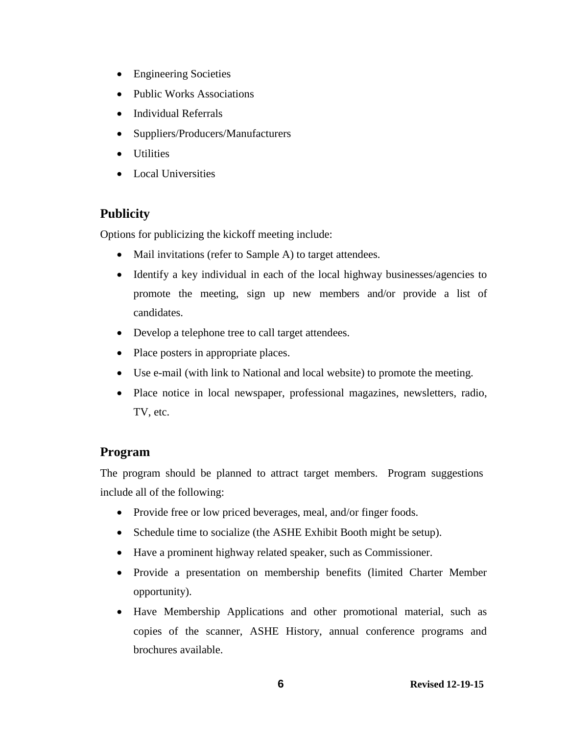- Engineering Societies
- Public Works Associations
- Individual Referrals
- Suppliers/Producers/Manufacturers
- Utilities
- Local Universities

# **Publicity**

Options for publicizing the kickoff meeting include:

- Mail invitations (refer to Sample A) to target attendees.
- Identify a key individual in each of the local highway businesses/agencies to promote the meeting, sign up new members and/or provide a list of candidates.
- Develop a telephone tree to call target attendees.
- Place posters in appropriate places.
- Use e-mail (with link to National and local website) to promote the meeting.
- Place notice in local newspaper, professional magazines, newsletters, radio, TV, etc.

# **Program**

The program should be planned to attract target members. Program suggestions include all of the following:

- Provide free or low priced beverages, meal, and/or finger foods.
- Schedule time to socialize (the ASHE Exhibit Booth might be setup).
- Have a prominent highway related speaker, such as Commissioner.
- Provide a presentation on membership benefits (limited Charter Member opportunity).
- Have Membership Applications and other promotional material, such as copies of the scanner, ASHE History, annual conference programs and brochures available.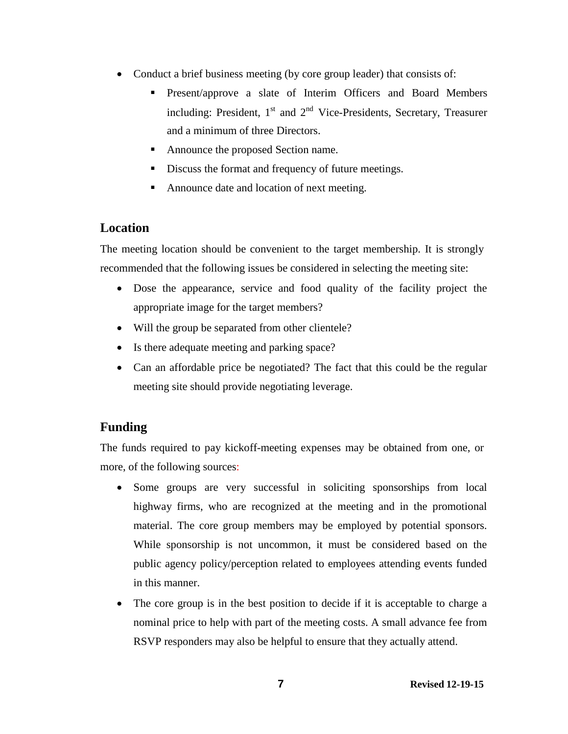- Conduct a brief business meeting (by core group leader) that consists of:
	- Present/approve a slate of Interim Officers and Board Members including: President,  $1<sup>st</sup>$  and  $2<sup>nd</sup>$  Vice-Presidents, Secretary, Treasurer and a minimum of three Directors.
	- Announce the proposed Section name.
	- Discuss the format and frequency of future meetings.
	- Announce date and location of next meeting.

# **Location**

The meeting location should be convenient to the target membership. It is strongly recommended that the following issues be considered in selecting the meeting site:

- Dose the appearance, service and food quality of the facility project the appropriate image for the target members?
- Will the group be separated from other clientele?
- Is there adequate meeting and parking space?
- Can an affordable price be negotiated? The fact that this could be the regular meeting site should provide negotiating leverage.

# **Funding**

The funds required to pay kickoff-meeting expenses may be obtained from one, or more, of the following sources:

- Some groups are very successful in soliciting sponsorships from local highway firms, who are recognized at the meeting and in the promotional material. The core group members may be employed by potential sponsors. While sponsorship is not uncommon, it must be considered based on the public agency policy/perception related to employees attending events funded in this manner.
- The core group is in the best position to decide if it is acceptable to charge a nominal price to help with part of the meeting costs. A small advance fee from RSVP responders may also be helpful to ensure that they actually attend.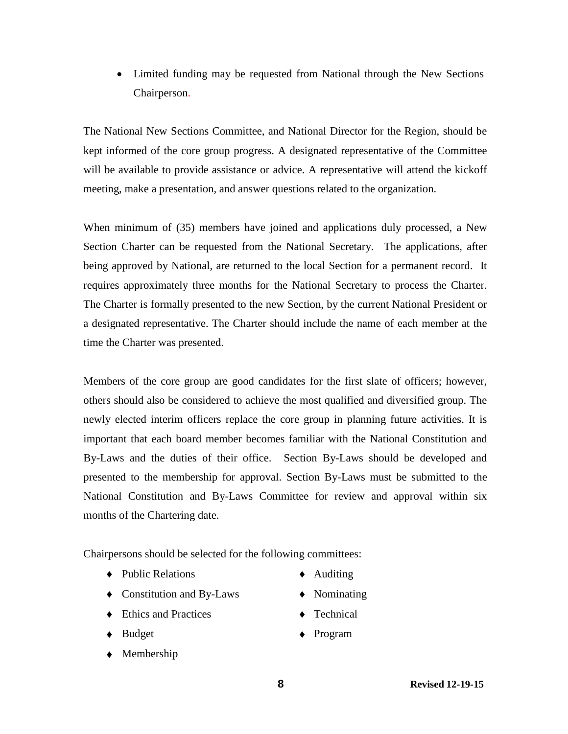• Limited funding may be requested from National through the New Sections Chairperson.

The National New Sections Committee, and National Director for the Region, should be kept informed of the core group progress. A designated representative of the Committee will be available to provide assistance or advice. A representative will attend the kickoff meeting, make a presentation, and answer questions related to the organization.

When minimum of (35) members have joined and applications duly processed, a New Section Charter can be requested from the National Secretary. The applications, after being approved by National, are returned to the local Section for a permanent record. It requires approximately three months for the National Secretary to process the Charter. The Charter is formally presented to the new Section, by the current National President or a designated representative. The Charter should include the name of each member at the time the Charter was presented.

Members of the core group are good candidates for the first slate of officers; however, others should also be considered to achieve the most qualified and diversified group. The newly elected interim officers replace the core group in planning future activities. It is important that each board member becomes familiar with the National Constitution and By-Laws and the duties of their office. Section By-Laws should be developed and presented to the membership for approval. Section By-Laws must be submitted to the National Constitution and By-Laws Committee for review and approval within six months of the Chartering date.

Chairpersons should be selected for the following committees:

- ♦ Public Relations ♦ Auditing
- ♦ Constitution and By-Laws ♦ Nominating
- $\bullet$  Ethics and Practices  $\bullet$  Technical
- 
- ♦ Membership
- 
- 
- 
- ♦ Budget ♦ Program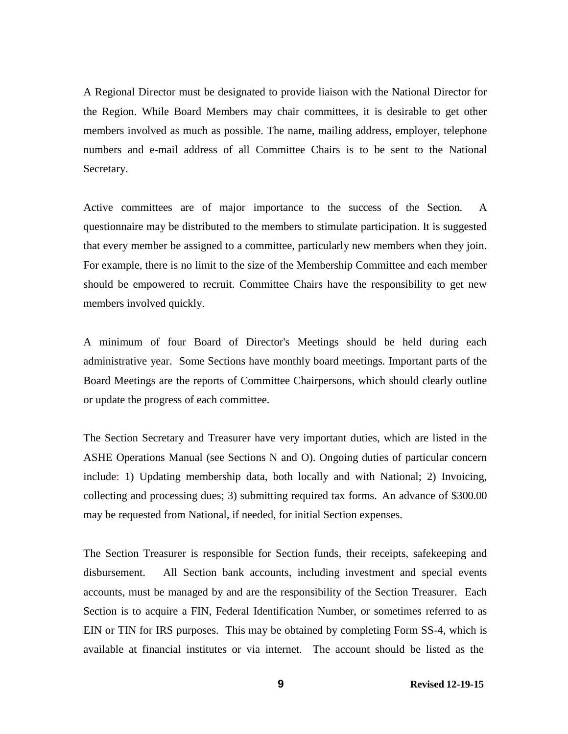A Regional Director must be designated to provide liaison with the National Director for the Region. While Board Members may chair committees, it is desirable to get other members involved as much as possible. The name, mailing address, employer, telephone numbers and e-mail address of all Committee Chairs is to be sent to the National Secretary.

Active committees are of major importance to the success of the Section. A questionnaire may be distributed to the members to stimulate participation. It is suggested that every member be assigned to a committee, particularly new members when they join. For example, there is no limit to the size of the Membership Committee and each member should be empowered to recruit. Committee Chairs have the responsibility to get new members involved quickly.

A minimum of four Board of Director's Meetings should be held during each administrative year. Some Sections have monthly board meetings. Important parts of the Board Meetings are the reports of Committee Chairpersons, which should clearly outline or update the progress of each committee.

The Section Secretary and Treasurer have very important duties, which are listed in the ASHE Operations Manual (see Sections N and O). Ongoing duties of particular concern include: 1) Updating membership data, both locally and with National; 2) Invoicing, collecting and processing dues; 3) submitting required tax forms. An advance of \$300.00 may be requested from National, if needed, for initial Section expenses.

The Section Treasurer is responsible for Section funds, their receipts, safekeeping and disbursement. All Section bank accounts, including investment and special events accounts, must be managed by and are the responsibility of the Section Treasurer. Each Section is to acquire a FIN, Federal Identification Number, or sometimes referred to as EIN or TIN for IRS purposes. This may be obtained by completing Form SS-4, which is available at financial institutes or via internet. The account should be listed as the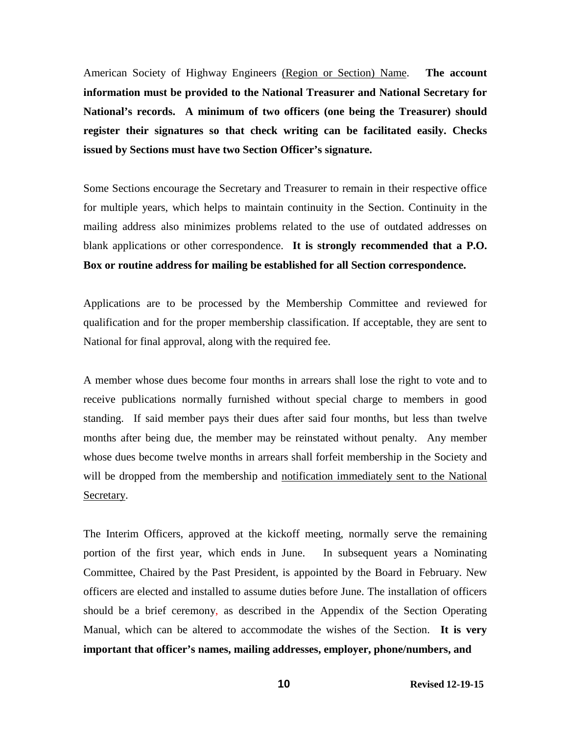American Society of Highway Engineers (Region or Section) Name. **The account information must be provided to the National Treasurer and National Secretary for National's records. A minimum of two officers (one being the Treasurer) should register their signatures so that check writing can be facilitated easily. Checks issued by Sections must have two Section Officer's signature.**

Some Sections encourage the Secretary and Treasurer to remain in their respective office for multiple years, which helps to maintain continuity in the Section. Continuity in the mailing address also minimizes problems related to the use of outdated addresses on blank applications or other correspondence. **It is strongly recommended that a P.O. Box or routine address for mailing be established for all Section correspondence.**

Applications are to be processed by the Membership Committee and reviewed for qualification and for the proper membership classification. If acceptable, they are sent to National for final approval, along with the required fee.

A member whose dues become four months in arrears shall lose the right to vote and to receive publications normally furnished without special charge to members in good standing. If said member pays their dues after said four months, but less than twelve months after being due, the member may be reinstated without penalty. Any member whose dues become twelve months in arrears shall forfeit membership in the Society and will be dropped from the membership and notification immediately sent to the National Secretary.

The Interim Officers, approved at the kickoff meeting, normally serve the remaining portion of the first year, which ends in June. In subsequent years a Nominating Committee, Chaired by the Past President, is appointed by the Board in February. New officers are elected and installed to assume duties before June. The installation of officers should be a brief ceremony, as described in the Appendix of the Section Operating Manual, which can be altered to accommodate the wishes of the Section. **It is very important that officer's names, mailing addresses, employer, phone/numbers, and**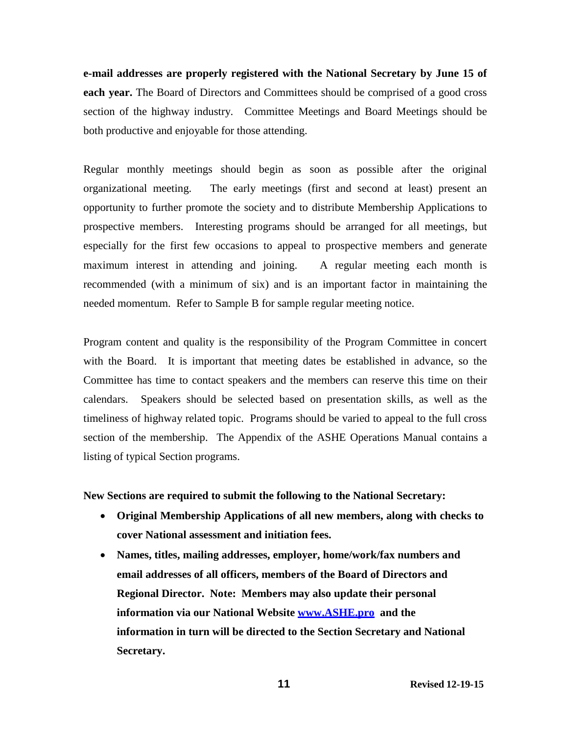**e-mail addresses are properly registered with the National Secretary by June 15 of each year.** The Board of Directors and Committees should be comprised of a good cross section of the highway industry. Committee Meetings and Board Meetings should be both productive and enjoyable for those attending.

Regular monthly meetings should begin as soon as possible after the original organizational meeting. The early meetings (first and second at least) present an opportunity to further promote the society and to distribute Membership Applications to prospective members. Interesting programs should be arranged for all meetings, but especially for the first few occasions to appeal to prospective members and generate maximum interest in attending and joining. A regular meeting each month is recommended (with a minimum of six) and is an important factor in maintaining the needed momentum. Refer to Sample B for sample regular meeting notice.

Program content and quality is the responsibility of the Program Committee in concert with the Board. It is important that meeting dates be established in advance, so the Committee has time to contact speakers and the members can reserve this time on their calendars. Speakers should be selected based on presentation skills, as well as the timeliness of highway related topic. Programs should be varied to appeal to the full cross section of the membership. The Appendix of the ASHE Operations Manual contains a listing of typical Section programs.

**New Sections are required to submit the following to the National Secretary:**

- **Original Membership Applications of all new members, along with checks to cover National assessment and initiation fees.**
- **Names, titles, mailing addresses, employer, home/work/fax numbers and email addresses of all officers, members of the Board of Directors and Regional Director. Note: Members may also update their personal information via our National Website [www.ASHE.pro a](http://www.ashe.pro/)nd the information in turn will be directed to the Section Secretary and National Secretary.**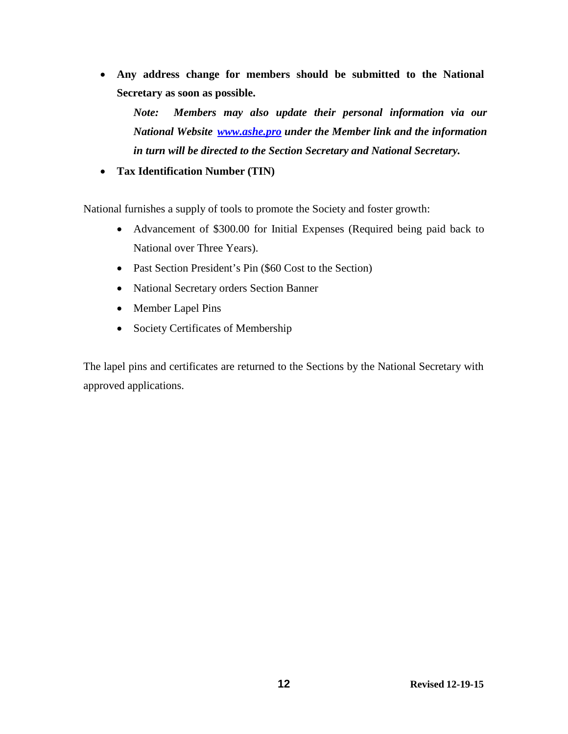• **Any address change for members should be submitted to the National Secretary as soon as possible.**

*Note: Members may also update their personal information via our National Website [www.ashe.pro](http://www.ashe.pro/) under the Member link and the information in turn will be directed to the Section Secretary and National Secretary.*

• **Tax Identification Number (TIN)**

National furnishes a supply of tools to promote the Society and foster growth:

- Advancement of \$300.00 for Initial Expenses (Required being paid back to National over Three Years).
- Past Section President's Pin (\$60 Cost to the Section)
- National Secretary orders Section Banner
- Member Lapel Pins
- Society Certificates of Membership

The lapel pins and certificates are returned to the Sections by the National Secretary with approved applications.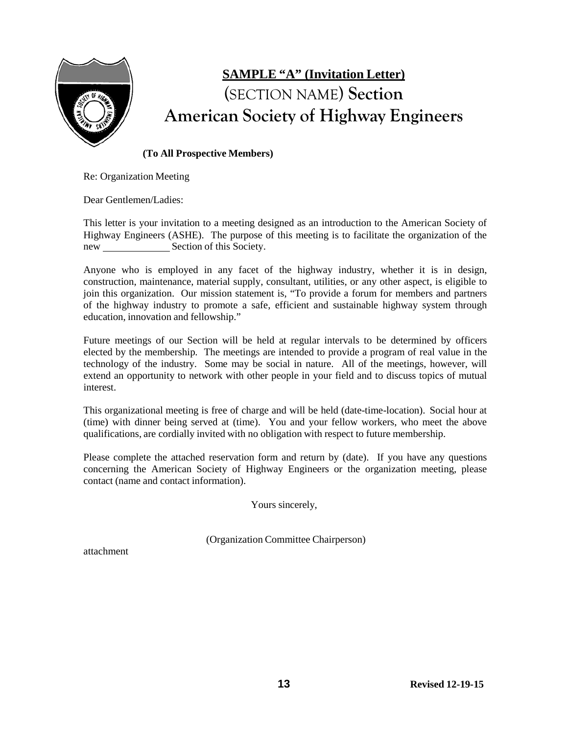

# **SAMPLE "A" (Invitation Letter)** (SECTION NAME) **Section American Society of Highway Engineers**

#### **(To All Prospective Members)**

Re: Organization Meeting

Dear Gentlemen/Ladies:

This letter is your invitation to a meeting designed as an introduction to the American Society of Highway Engineers (ASHE). The purpose of this meeting is to facilitate the organization of the new Section of this Society.

Anyone who is employed in any facet of the highway industry, whether it is in design, construction, maintenance, material supply, consultant, utilities, or any other aspect, is eligible to join this organization. Our mission statement is, "To provide a forum for members and partners of the highway industry to promote a safe, efficient and sustainable highway system through education, innovation and fellowship."

Future meetings of our Section will be held at regular intervals to be determined by officers elected by the membership. The meetings are intended to provide a program of real value in the technology of the industry. Some may be social in nature. All of the meetings, however, will extend an opportunity to network with other people in your field and to discuss topics of mutual interest.

This organizational meeting is free of charge and will be held (date-time-location). Social hour at (time) with dinner being served at (time). You and your fellow workers, who meet the above qualifications, are cordially invited with no obligation with respect to future membership.

Please complete the attached reservation form and return by (date). If you have any questions concerning the American Society of Highway Engineers or the organization meeting, please contact (name and contact information).

Yours sincerely,

(Organization Committee Chairperson)

attachment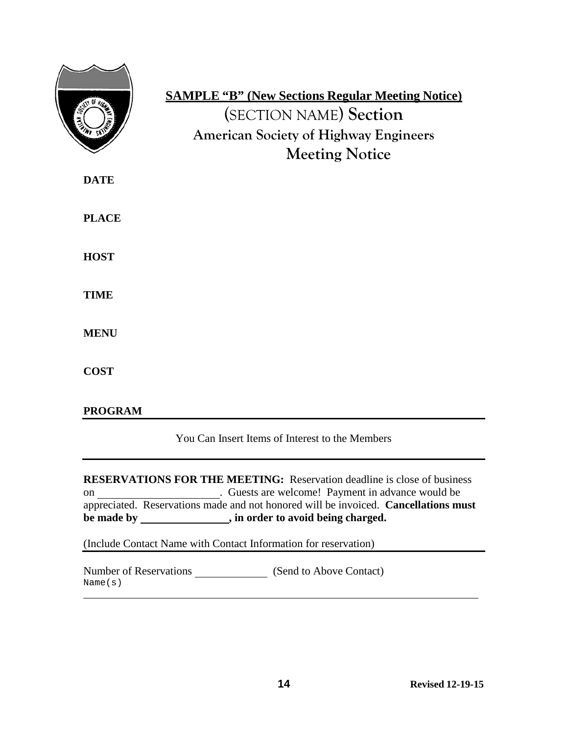|                | <b>SAMPLE "B" (New Sections Regular Meeting Notice)</b><br>(SECTION NAME) Section<br><b>American Society of Highway Engineers</b><br><b>Meeting Notice</b> |
|----------------|------------------------------------------------------------------------------------------------------------------------------------------------------------|
| <b>DATE</b>    |                                                                                                                                                            |
| <b>PLACE</b>   |                                                                                                                                                            |
| <b>HOST</b>    |                                                                                                                                                            |
| <b>TIME</b>    |                                                                                                                                                            |
| <b>MENU</b>    |                                                                                                                                                            |
| <b>COST</b>    |                                                                                                                                                            |
| <b>PROGRAM</b> |                                                                                                                                                            |
|                | You Can Insert Items of Interest to the Members                                                                                                            |
|                |                                                                                                                                                            |

**RESERVATIONS FOR THE MEETING:** Reservation deadline is close of business on \_\_\_\_\_\_\_\_\_\_\_\_\_\_\_\_\_\_\_\_\_. Guests are welcome! Payment in advance would be appreciated. Reservations made and not honored will be invoiced. **Cancellations must**  be made by \_\_\_\_\_\_\_\_\_\_\_\_\_\_, in order to avoid being charged.

(Include Contact Name with Contact Information for reservation)

Number of Reservations (Send to Above Contact)Name(s)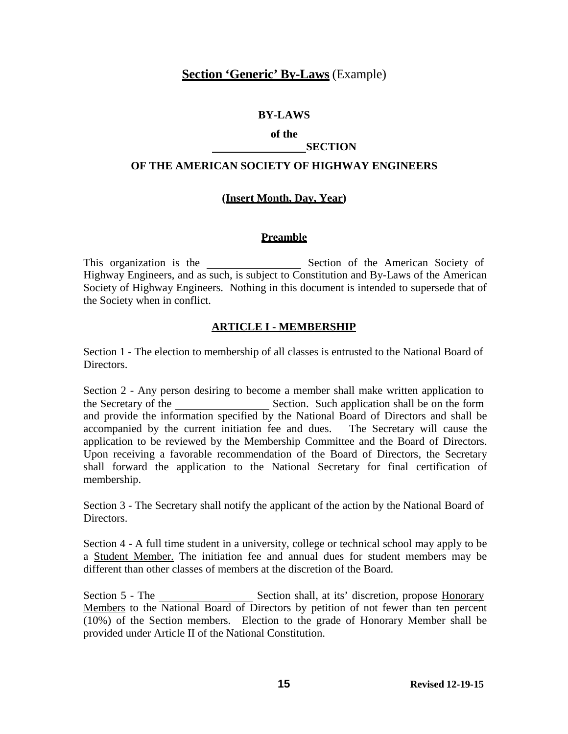## **Section 'Generic' By-Laws** (Example)

#### **BY-LAWS**

#### **of the SECTION**

## **OF THE AMERICAN SOCIETY OF HIGHWAY ENGINEERS**

#### **(Insert Month, Day, Year)**

#### **Preamble**

This organization is the Section of the American Society of Highway Engineers, and as such, is subject to Constitution and By-Laws of the American Society of Highway Engineers. Nothing in this document is intended to supersede that of the Society when in conflict.

#### **ARTICLE I - MEMBERSHIP**

Section 1 - The election to membership of all classes is entrusted to the National Board of Directors.

Section 2 - Any person desiring to become a member shall make written application to the Secretary of the Section. Such application shall be on the form and provide the information specified by the National Board of Directors and shall be accompanied by the current initiation fee and dues. The Secretary will cause the application to be reviewed by the Membership Committee and the Board of Directors. Upon receiving a favorable recommendation of the Board of Directors, the Secretary shall forward the application to the National Secretary for final certification of membership.

Section 3 - The Secretary shall notify the applicant of the action by the National Board of Directors.

Section 4 - A full time student in a university, college or technical school may apply to be a Student Member. The initiation fee and annual dues for student members may be different than other classes of members at the discretion of the Board.

Section 5 - The Section shall, at its' discretion, propose Honorary Members to the National Board of Directors by petition of not fewer than ten percent (10%) of the Section members. Election to the grade of Honorary Member shall be provided under Article II of the National Constitution.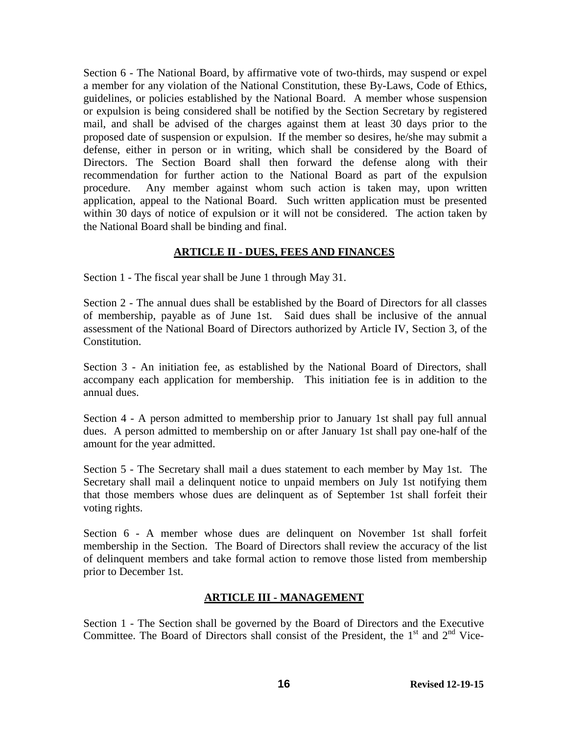Section 6 - The National Board, by affirmative vote of two-thirds, may suspend or expel a member for any violation of the National Constitution, these By-Laws, Code of Ethics, guidelines, or policies established by the National Board. A member whose suspension or expulsion is being considered shall be notified by the Section Secretary by registered mail, and shall be advised of the charges against them at least 30 days prior to the proposed date of suspension or expulsion. If the member so desires, he/she may submit a defense, either in person or in writing, which shall be considered by the Board of Directors. The Section Board shall then forward the defense along with their recommendation for further action to the National Board as part of the expulsion procedure. Any member against whom such action is taken may, upon written application, appeal to the National Board. Such written application must be presented within 30 days of notice of expulsion or it will not be considered. The action taken by the National Board shall be binding and final.

#### **ARTICLE II - DUES, FEES AND FINANCES**

Section 1 - The fiscal year shall be June 1 through May 31.

Section 2 - The annual dues shall be established by the Board of Directors for all classes of membership, payable as of June 1st. Said dues shall be inclusive of the annual assessment of the National Board of Directors authorized by Article IV, Section 3, of the Constitution.

Section 3 - An initiation fee, as established by the National Board of Directors, shall accompany each application for membership. This initiation fee is in addition to the annual dues.

Section 4 - A person admitted to membership prior to January 1st shall pay full annual dues. A person admitted to membership on or after January 1st shall pay one-half of the amount for the year admitted.

Section 5 - The Secretary shall mail a dues statement to each member by May 1st. The Secretary shall mail a delinquent notice to unpaid members on July 1st notifying them that those members whose dues are delinquent as of September 1st shall forfeit their voting rights.

Section 6 - A member whose dues are delinquent on November 1st shall forfeit membership in the Section. The Board of Directors shall review the accuracy of the list of delinquent members and take formal action to remove those listed from membership prior to December 1st.

#### **ARTICLE III - MANAGEMENT**

Section 1 - The Section shall be governed by the Board of Directors and the Executive Committee. The Board of Directors shall consist of the President, the  $1<sup>st</sup>$  and  $2<sup>nd</sup>$  Vice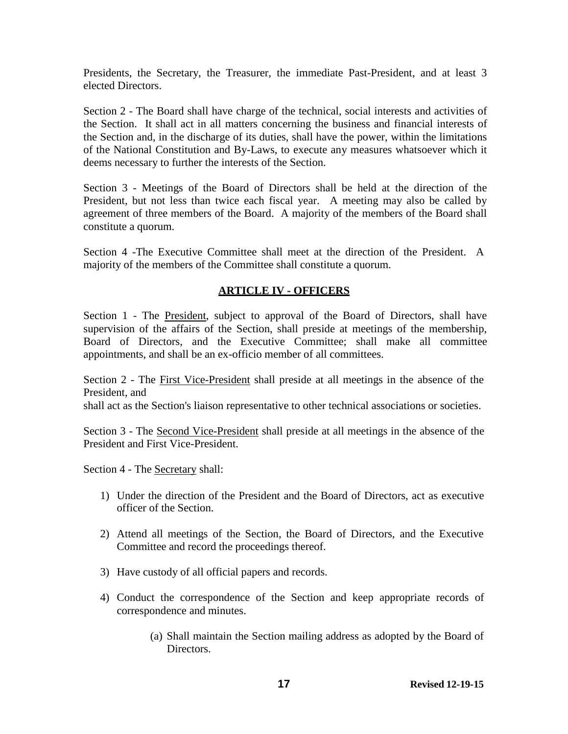Presidents, the Secretary, the Treasurer, the immediate Past-President, and at least 3 elected Directors.

Section 2 - The Board shall have charge of the technical, social interests and activities of the Section. It shall act in all matters concerning the business and financial interests of the Section and, in the discharge of its duties, shall have the power, within the limitations of the National Constitution and By-Laws, to execute any measures whatsoever which it deems necessary to further the interests of the Section.

Section 3 - Meetings of the Board of Directors shall be held at the direction of the President, but not less than twice each fiscal year. A meeting may also be called by agreement of three members of the Board. A majority of the members of the Board shall constitute a quorum.

Section 4 -The Executive Committee shall meet at the direction of the President. A majority of the members of the Committee shall constitute a quorum.

## **ARTICLE IV - OFFICERS**

Section 1 - The President, subject to approval of the Board of Directors, shall have supervision of the affairs of the Section, shall preside at meetings of the membership, Board of Directors, and the Executive Committee; shall make all committee appointments, and shall be an ex-officio member of all committees.

Section 2 - The First Vice-President shall preside at all meetings in the absence of the President, and

shall act as the Section's liaison representative to other technical associations or societies.

Section 3 - The Second Vice-President shall preside at all meetings in the absence of the President and First Vice-President.

Section 4 - The Secretary shall:

- 1) Under the direction of the President and the Board of Directors, act as executive officer of the Section.
- 2) Attend all meetings of the Section, the Board of Directors, and the Executive Committee and record the proceedings thereof.
- 3) Have custody of all official papers and records.
- 4) Conduct the correspondence of the Section and keep appropriate records of correspondence and minutes.
	- (a) Shall maintain the Section mailing address as adopted by the Board of Directors.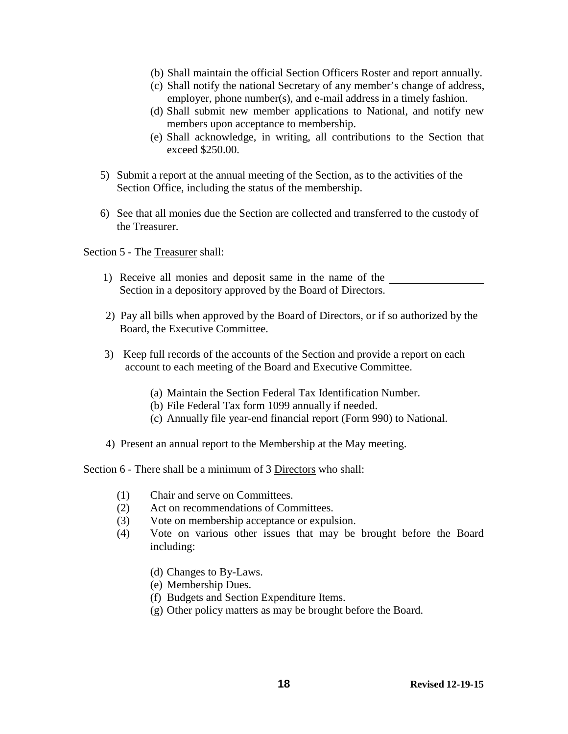- (b) Shall maintain the official Section Officers Roster and report annually.
- (c) Shall notify the national Secretary of any member's change of address, employer, phone number(s), and e-mail address in a timely fashion.
- (d) Shall submit new member applications to National, and notify new members upon acceptance to membership.
- (e) Shall acknowledge, in writing, all contributions to the Section that exceed \$250.00.
- 5) Submit a report at the annual meeting of the Section, as to the activities of the Section Office, including the status of the membership.
- 6) See that all monies due the Section are collected and transferred to the custody of the Treasurer.

Section 5 - The Treasurer shall:

- 1) Receive all monies and deposit same in the name of the Section in a depository approved by the Board of Directors.
- 2) Pay all bills when approved by the Board of Directors, or if so authorized by the Board, the Executive Committee.
- 3) Keep full records of the accounts of the Section and provide a report on each account to each meeting of the Board and Executive Committee.
	- (a) Maintain the Section Federal Tax Identification Number.
	- (b) File Federal Tax form 1099 annually if needed.
	- (c) Annually file year-end financial report (Form 990) to National.
- 4) Present an annual report to the Membership at the May meeting.

Section 6 - There shall be a minimum of 3 Directors who shall:

- (1) Chair and serve on Committees.
- (2) Act on recommendations of Committees.
- (3) Vote on membership acceptance or expulsion.
- (4) Vote on various other issues that may be brought before the Board including:
	- (d) Changes to By-Laws.
	- (e) Membership Dues.
	- (f) Budgets and Section Expenditure Items.
	- (g) Other policy matters as may be brought before the Board.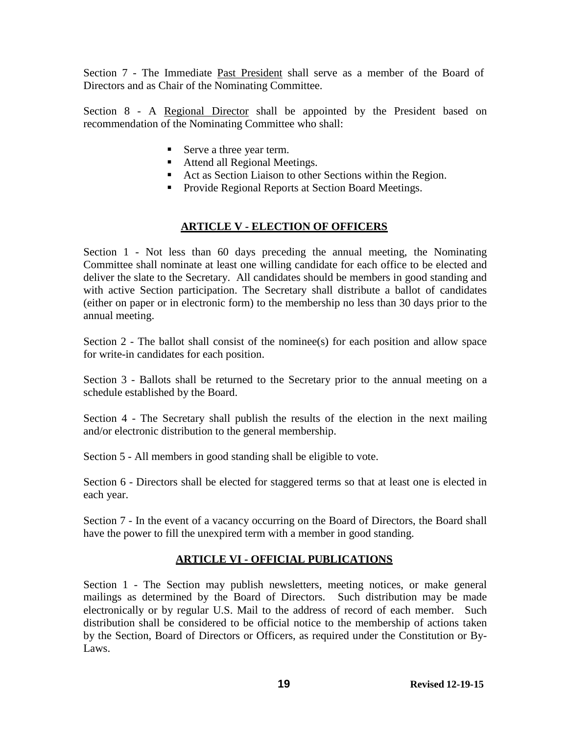Section 7 - The Immediate Past President shall serve as a member of the Board of Directors and as Chair of the Nominating Committee.

Section 8 - A Regional Director shall be appointed by the President based on recommendation of the Nominating Committee who shall:

- Serve a three year term.
- Attend all Regional Meetings.
- Act as Section Liaison to other Sections within the Region.
- **Provide Regional Reports at Section Board Meetings.**

## **ARTICLE V - ELECTION OF OFFICERS**

Section 1 - Not less than 60 days preceding the annual meeting, the Nominating Committee shall nominate at least one willing candidate for each office to be elected and deliver the slate to the Secretary. All candidates should be members in good standing and with active Section participation. The Secretary shall distribute a ballot of candidates (either on paper or in electronic form) to the membership no less than 30 days prior to the annual meeting.

Section 2 - The ballot shall consist of the nominee(s) for each position and allow space for write-in candidates for each position.

Section 3 - Ballots shall be returned to the Secretary prior to the annual meeting on a schedule established by the Board.

Section 4 - The Secretary shall publish the results of the election in the next mailing and/or electronic distribution to the general membership.

Section 5 - All members in good standing shall be eligible to vote.

Section 6 - Directors shall be elected for staggered terms so that at least one is elected in each year.

Section 7 - In the event of a vacancy occurring on the Board of Directors, the Board shall have the power to fill the unexpired term with a member in good standing.

# **ARTICLE VI - OFFICIAL PUBLICATIONS**

Section 1 - The Section may publish newsletters, meeting notices, or make general mailings as determined by the Board of Directors. Such distribution may be made electronically or by regular U.S. Mail to the address of record of each member. Such distribution shall be considered to be official notice to the membership of actions taken by the Section, Board of Directors or Officers, as required under the Constitution or By-Laws.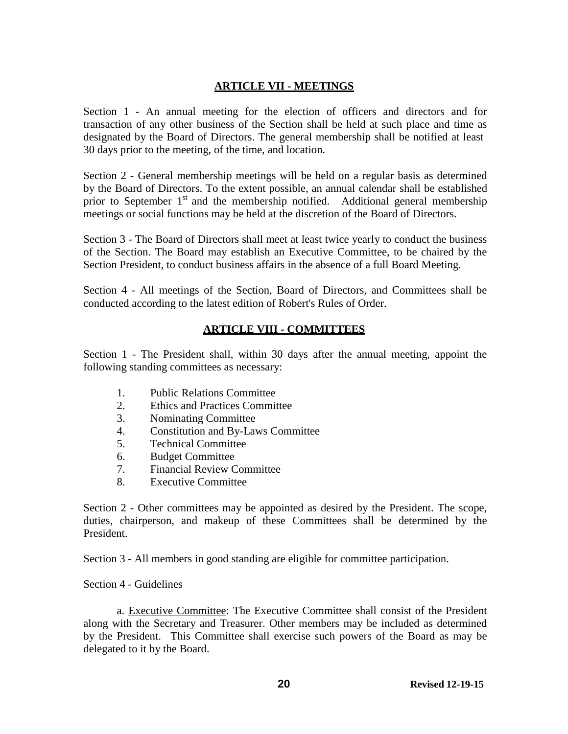#### **ARTICLE VII - MEETINGS**

Section 1 - An annual meeting for the election of officers and directors and for transaction of any other business of the Section shall be held at such place and time as designated by the Board of Directors. The general membership shall be notified at least 30 days prior to the meeting, of the time, and location.

Section 2 - General membership meetings will be held on a regular basis as determined by the Board of Directors. To the extent possible, an annual calendar shall be established prior to September  $1<sup>st</sup>$  and the membership notified. Additional general membership meetings or social functions may be held at the discretion of the Board of Directors.

Section 3 - The Board of Directors shall meet at least twice yearly to conduct the business of the Section. The Board may establish an Executive Committee, to be chaired by the Section President, to conduct business affairs in the absence of a full Board Meeting.

Section 4 - All meetings of the Section, Board of Directors, and Committees shall be conducted according to the latest edition of Robert's Rules of Order.

## **ARTICLE VIII - COMMITTEES**

Section 1 - The President shall, within 30 days after the annual meeting, appoint the following standing committees as necessary:

- 1. Public Relations Committee
- 2. Ethics and Practices Committee
- 3. Nominating Committee
- 4. Constitution and By-Laws Committee
- 5. Technical Committee
- 6. Budget Committee
- 7. Financial Review Committee
- 8. Executive Committee

Section 2 - Other committees may be appointed as desired by the President. The scope, duties, chairperson, and makeup of these Committees shall be determined by the President.

Section 3 - All members in good standing are eligible for committee participation.

#### Section 4 - Guidelines

a. Executive Committee: The Executive Committee shall consist of the President along with the Secretary and Treasurer. Other members may be included as determined by the President. This Committee shall exercise such powers of the Board as may be delegated to it by the Board.